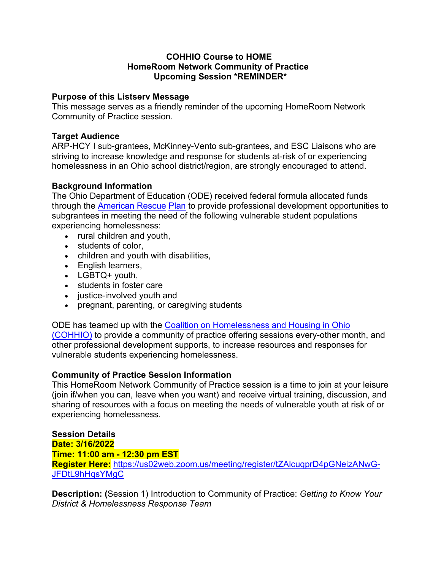#### **COHHIO Course to HOME HomeRoom Network Community of Practice Upcoming Session \*REMINDER\***

### **Purpose of this Listserv Message**

This message serves as a friendly reminder of the upcoming HomeRoom Network Community of Practice session.

### **Target Audience**

ARP-HCY I sub-grantees, McKinney-Vento sub-grantees, and ESC Liaisons who are striving to increase knowledge and response for students at-risk of or experiencing homelessness in an Ohio school district/region, are strongly encouraged to attend.

# **Background Information**

The Ohio Department of Education (ODE) received federal formula allocated funds through the American Rescue Plan to provide professional development opportunities to subgrantees in meeting the need of the following vulnerable student populations experiencing homelessness:

- rural children and youth,
- students of color,
- children and youth with disabilities,
- English learners,
- LGBTQ+ youth,
- students in foster care
- justice-involved youth and
- pregnant, parenting, or caregiving students

ODE has teamed up with the Coalition on Homelessness and Housing in Ohio (COHHIO) to provide a community of practice offering sessions every-other month, and other professional development supports, to increase resources and responses for vulnerable students experiencing homelessness.

#### **Community of Practice Session Information**

This HomeRoom Network Community of Practice session is a time to join at your leisure (join if/when you can, leave when you want) and receive virtual training, discussion, and sharing of resources with a focus on meeting the needs of vulnerable youth at risk of or experiencing homelessness.

# **Session Details**

**Date: 3/16/2022**

**Time: 11:00 am - 12:30 pm EST**

**Register Here:** https://us02web.zoom.us/meeting/register/tZAlcuqprD4pGNeizANwG-JFDtL9hHqsYMgC

**Description: (**Session 1) Introduction to Community of Practice: *Getting to Know Your District & Homelessness Response Team*